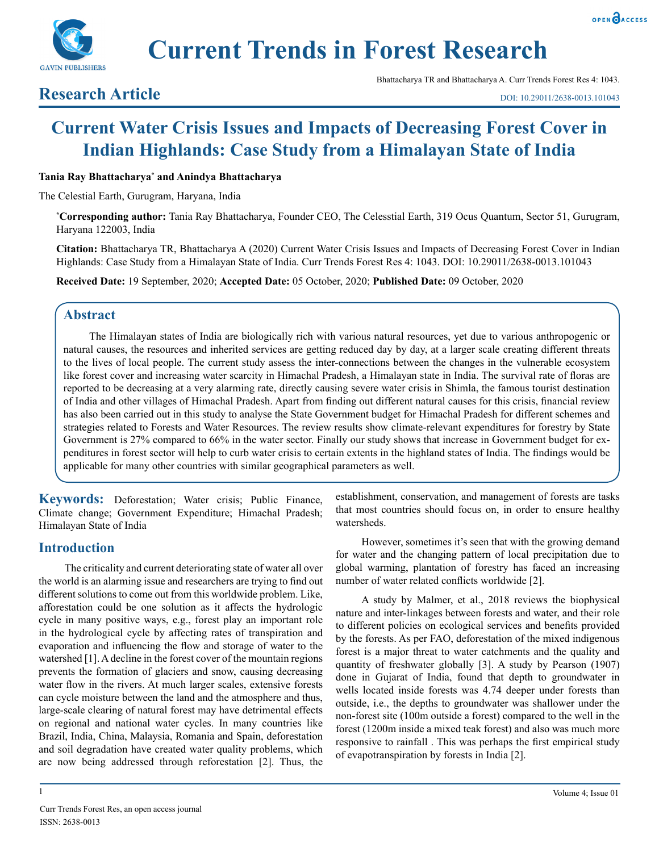



**Current Trends in Forest Research**

## **Research Article**

Bhattacharya TR and Bhattacharya A. Curr Trends Forest Res 4: 1043.

# **Current Water Crisis Issues and Impacts of Decreasing Forest Cover in Indian Highlands: Case Study from a Himalayan State of India**

#### **Tania Ray Bhattacharya\* and Anindya Bhattacharya**

The Celestial Earth, Gurugram, Haryana, India

**\* Corresponding author:** Tania Ray Bhattacharya, Founder CEO, The Celesstial Earth, 319 Ocus Quantum, Sector 51, Gurugram, Haryana 122003, India

**Citation:** Bhattacharya TR, Bhattacharya A (2020) Current Water Crisis Issues and Impacts of Decreasing Forest Cover in Indian Highlands: Case Study from a Himalayan State of India. Curr Trends Forest Res 4: 1043. DOI: 10.29011/2638-0013.101043

**Received Date:** 19 September, 2020; **Accepted Date:** 05 October, 2020; **Published Date:** 09 October, 2020

## **Abstract**

The Himalayan states of India are biologically rich with various natural resources, yet due to various anthropogenic or natural causes, the resources and inherited services are getting reduced day by day, at a larger scale creating different threats to the lives of local people. The current study assess the inter-connections between the changes in the vulnerable ecosystem like forest cover and increasing water scarcity in Himachal Pradesh, a Himalayan state in India. The survival rate of floras are reported to be decreasing at a very alarming rate, directly causing severe water crisis in Shimla, the famous tourist destination of India and other villages of Himachal Pradesh. Apart from finding out different natural causes for this crisis, financial review has also been carried out in this study to analyse the State Government budget for Himachal Pradesh for different schemes and strategies related to Forests and Water Resources. The review results show climate-relevant expenditures for forestry by State Government is 27% compared to 66% in the water sector. Finally our study shows that increase in Government budget for expenditures in forest sector will help to curb water crisis to certain extents in the highland states of India. The findings would be applicable for many other countries with similar geographical parameters as well.

**Keywords:** Deforestation; Water crisis; Public Finance, Climate change; Government Expenditure; Himachal Pradesh; Himalayan State of India

## **Introduction**

The criticality and current deteriorating state of water all over the world is an alarming issue and researchers are trying to find out different solutions to come out from this worldwide problem. Like, afforestation could be one solution as it affects the hydrologic cycle in many positive ways, e.g., forest play an important role in the hydrological cycle by affecting rates of transpiration and evaporation and influencing the flow and storage of water to the watershed [1]. A decline in the forest cover of the mountain regions prevents the formation of glaciers and snow, causing decreasing water flow in the rivers. At much larger scales, extensive forests can cycle moisture between the land and the atmosphere and thus, large-scale clearing of natural forest may have detrimental effects on regional and national water cycles. In many countries like Brazil, India, China, Malaysia, Romania and Spain, deforestation and soil degradation have created water quality problems, which are now being addressed through reforestation [2]. Thus, the

1

establishment, conservation, and management of forests are tasks that most countries should focus on, in order to ensure healthy watersheds.

However, sometimes it's seen that with the growing demand for water and the changing pattern of local precipitation due to global warming, plantation of forestry has faced an increasing number of water related conflicts worldwide [2].

A study by Malmer, et al., 2018 reviews the biophysical nature and inter-linkages between forests and water, and their role to different policies on ecological services and benefits provided by the forests. As per FAO, deforestation of the mixed indigenous forest is a major threat to water catchments and the quality and quantity of freshwater globally [3]. A study by Pearson (1907) done in Gujarat of India, found that depth to groundwater in wells located inside forests was 4.74 deeper under forests than outside, i.e., the depths to groundwater was shallower under the non-forest site (100m outside a forest) compared to the well in the forest (1200m inside a mixed teak forest) and also was much more responsive to rainfall . This was perhaps the first empirical study of evapotranspiration by forests in India [2].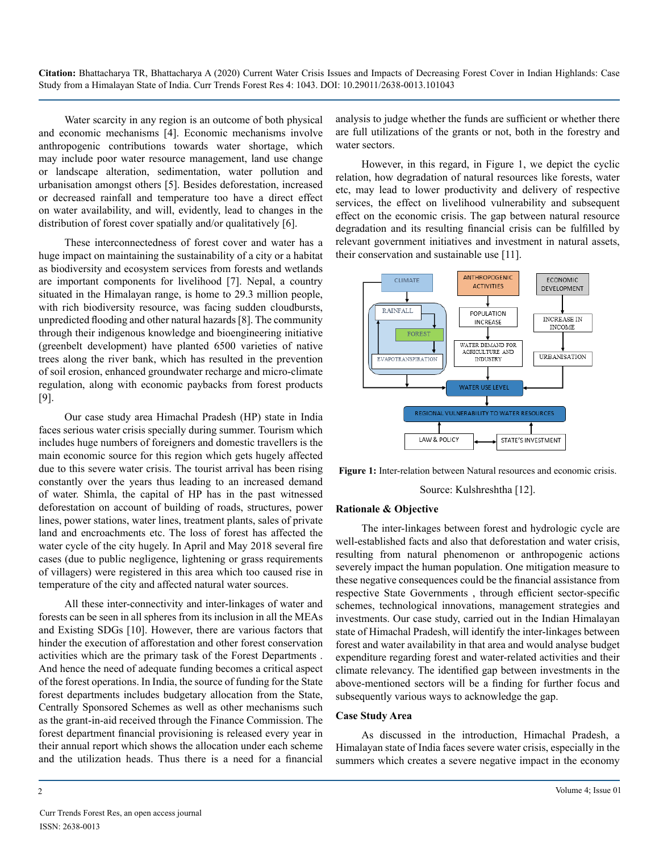Water scarcity in any region is an outcome of both physical and economic mechanisms [4]. Economic mechanisms involve anthropogenic contributions towards water shortage, which may include poor water resource management, land use change or landscape alteration, sedimentation, water pollution and urbanisation amongst others [5]. Besides deforestation, increased or decreased rainfall and temperature too have a direct effect on water availability, and will, evidently, lead to changes in the distribution of forest cover spatially and/or qualitatively [6].

These interconnectedness of forest cover and water has a huge impact on maintaining the sustainability of a city or a habitat as biodiversity and ecosystem services from forests and wetlands are important components for livelihood [7]. Nepal, a country situated in the Himalayan range, is home to 29.3 million people, with rich biodiversity resource, was facing sudden cloudbursts, unpredicted flooding and other natural hazards [8]. The community through their indigenous knowledge and bioengineering initiative (greenbelt development) have planted 6500 varieties of native trees along the river bank, which has resulted in the prevention of soil erosion, enhanced groundwater recharge and micro-climate regulation, along with economic paybacks from forest products [9].

Our case study area Himachal Pradesh (HP) state in India faces serious water crisis specially during summer. Tourism which includes huge numbers of foreigners and domestic travellers is the main economic source for this region which gets hugely affected due to this severe water crisis. The tourist arrival has been rising constantly over the years thus leading to an increased demand of water. Shimla, the capital of HP has in the past witnessed deforestation on account of building of roads, structures, power lines, power stations, water lines, treatment plants, sales of private land and encroachments etc. The loss of forest has affected the water cycle of the city hugely. In April and May 2018 several fire cases (due to public negligence, lightening or grass requirements of villagers) were registered in this area which too caused rise in temperature of the city and affected natural water sources.

All these inter-connectivity and inter-linkages of water and forests can be seen in all spheres from its inclusion in all the MEAs and Existing SDGs [10]. However, there are various factors that hinder the execution of afforestation and other forest conservation activities which are the primary task of the Forest Departments . And hence the need of adequate funding becomes a critical aspect of the forest operations. In India, the source of funding for the State forest departments includes budgetary allocation from the State, Centrally Sponsored Schemes as well as other mechanisms such as the grant-in-aid received through the Finance Commission. The forest department financial provisioning is released every year in their annual report which shows the allocation under each scheme and the utilization heads. Thus there is a need for a financial

analysis to judge whether the funds are sufficient or whether there are full utilizations of the grants or not, both in the forestry and water sectors.

However, in this regard, in [Figure 1](#page-1-0), we depict the cyclic relation, how degradation of natural resources like forests, water etc, may lead to lower productivity and delivery of respective services, the effect on livelihood vulnerability and subsequent effect on the economic crisis. The gap between natural resource degradation and its resulting financial crisis can be fulfilled by relevant government initiatives and investment in natural assets, their conservation and sustainable use [11].



<span id="page-1-0"></span>**Figure 1:** Inter-relation between Natural resources and economic crisis.

Source: Kulshreshtha [12].

#### **Rationale & Objective**

The inter-linkages between forest and hydrologic cycle are well-established facts and also that deforestation and water crisis, resulting from natural phenomenon or anthropogenic actions severely impact the human population. One mitigation measure to these negative consequences could be the financial assistance from respective State Governments , through efficient sector-specific schemes, technological innovations, management strategies and investments. Our case study, carried out in the Indian Himalayan state of Himachal Pradesh, will identify the inter-linkages between forest and water availability in that area and would analyse budget expenditure regarding forest and water-related activities and their climate relevancy. The identified gap between investments in the above-mentioned sectors will be a finding for further focus and subsequently various ways to acknowledge the gap.

#### **Case Study Area**

As discussed in the introduction, Himachal Pradesh, a Himalayan state of India faces severe water crisis, especially in the summers which creates a severe negative impact in the economy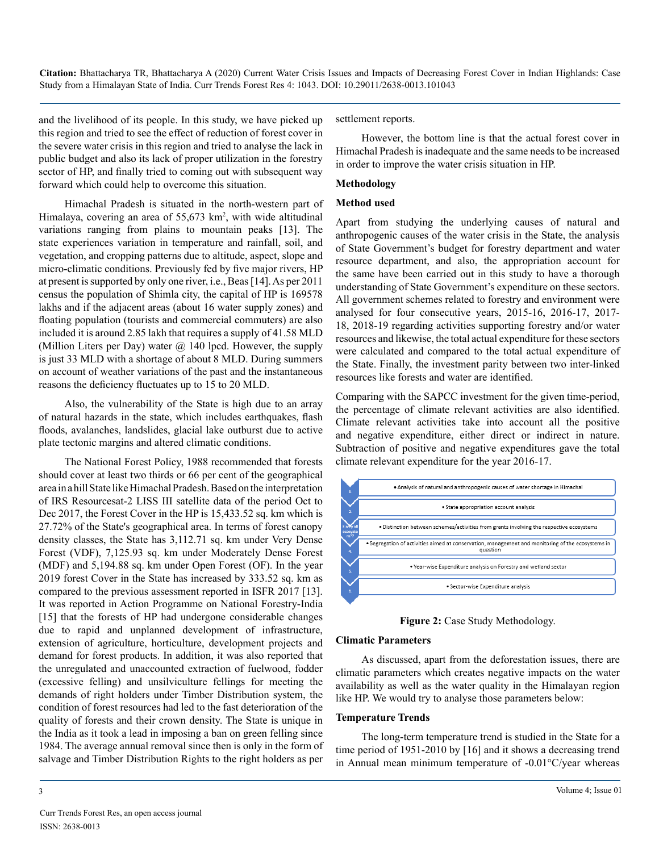and the livelihood of its people. In this study, we have picked up this region and tried to see the effect of reduction of forest cover in the severe water crisis in this region and tried to analyse the lack in public budget and also its lack of proper utilization in the forestry sector of HP, and finally tried to coming out with subsequent way forward which could help to overcome this situation.

Himachal Pradesh is situated in the north-western part of Himalaya, covering an area of 55,673 km<sup>2</sup>, with wide altitudinal variations ranging from plains to mountain peaks [13]. The state experiences variation in temperature and rainfall, soil, and vegetation, and cropping patterns due to altitude, aspect, slope and micro-climatic conditions. Previously fed by five major rivers, HP at present is supported by only one river, i.e., Beas [14]. As per 2011 census the population of Shimla city, the capital of HP is 169578 lakhs and if the adjacent areas (about 16 water supply zones) and floating population (tourists and commercial commuters) are also included it is around 2.85 lakh that requires a supply of 41.58 MLD (Million Liters per Day) water  $\omega$  140 lpcd. However, the supply is just 33 MLD with a shortage of about 8 MLD. During summers on account of weather variations of the past and the instantaneous reasons the deficiency fluctuates up to 15 to 20 MLD.

Also, the vulnerability of the State is high due to an array of natural hazards in the state, which includes earthquakes, flash floods, avalanches, landslides, glacial lake outburst due to active plate tectonic margins and altered climatic conditions.

The National Forest Policy, 1988 recommended that forests should cover at least two thirds or 66 per cent of the geographical area in a hill State like Himachal Pradesh. Based on the interpretation of IRS Resourcesat-2 LISS III satellite data of the period Oct to Dec 2017, the Forest Cover in the HP is 15,433.52 sq. km which is 27.72% of the State's geographical area. In terms of forest canopy density classes, the State has 3,112.71 sq. km under Very Dense Forest (VDF), 7,125.93 sq. km under Moderately Dense Forest (MDF) and 5,194.88 sq. km under Open Forest (OF). In the year 2019 forest Cover in the State has increased by 333.52 sq. km as compared to the previous assessment reported in ISFR 2017 [13]. It was reported in Action Programme on National Forestry-India [15] that the forests of HP had undergone considerable changes due to rapid and unplanned development of infrastructure, extension of agriculture, horticulture, development projects and demand for forest products. In addition, it was also reported that the unregulated and unaccounted extraction of fuelwood, fodder (excessive felling) and unsilviculture fellings for meeting the demands of right holders under Timber Distribution system, the condition of forest resources had led to the fast deterioration of the quality of forests and their crown density. The State is unique in the India as it took a lead in imposing a ban on green felling since 1984. The average annual removal since then is only in the form of salvage and Timber Distribution Rights to the right holders as per

settlement reports.

However, the bottom line is that the actual forest cover in Himachal Pradesh is inadequate and the same needs to be increased in order to improve the water crisis situation in HP.

#### **Methodology**

#### **Method used**

Apart from studying the underlying causes of natural and anthropogenic causes of the water crisis in the State, the analysis of State Government's budget for forestry department and water resource department, and also, the appropriation account for the same have been carried out in this study to have a thorough understanding of State Government's expenditure on these sectors. All government schemes related to forestry and environment were analysed for four consecutive years, 2015-16, 2016-17, 2017- 18, 2018-19 regarding activities supporting forestry and/or water resources and likewise, the total actual expenditure for these sectors were calculated and compared to the total actual expenditure of the State. Finally, the investment parity between two inter-linked resources like forests and water are identified.

Comparing with the SAPCC investment for the given time-period, the percentage of climate relevant activities are also identified. Climate relevant activities take into account all the positive and negative expenditure, either direct or indirect in nature. Subtraction of positive and negative expenditures gave the total climate relevant expenditure for the year 2016-17.



**Figure 2:** Case Study Methodology.

#### **Climatic Parameters**

As discussed, apart from the deforestation issues, there are climatic parameters which creates negative impacts on the water availability as well as the water quality in the Himalayan region like HP. We would try to analyse those parameters below:

#### **Temperature Trends**

The long-term temperature trend is studied in the State for a time period of 1951-2010 by [16] and it shows a decreasing trend in Annual mean minimum temperature of -0.01°C/year whereas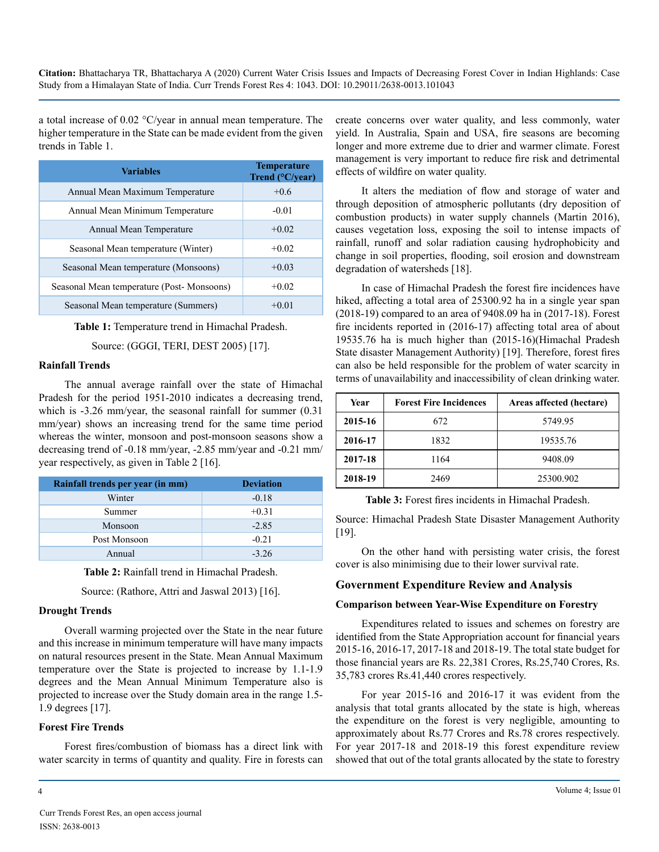a total increase of 0.02 °C/year in annual mean temperature. The higher temperature in the State can be made evident from the given trends in Table 1.

| <b>Variables</b>                          | <b>Temperature</b><br>Trend $(^{\circ}C/year)$ |
|-------------------------------------------|------------------------------------------------|
| Annual Mean Maximum Temperature           | $+0.6$                                         |
| Annual Mean Minimum Temperature           | $-0.01$                                        |
| Annual Mean Temperature                   | $+0.02$                                        |
| Seasonal Mean temperature (Winter)        | $+0.02$                                        |
| Seasonal Mean temperature (Monsoons)      | $+0.03$                                        |
| Seasonal Mean temperature (Post-Monsoons) | $+0.02$                                        |
| Seasonal Mean temperature (Summers)       | $+0.01$                                        |

**Table 1:** Temperature trend in Himachal Pradesh.

Source: (GGGI, TERI, DEST 2005) [17].

#### **Rainfall Trends**

The annual average rainfall over the state of Himachal Pradesh for the period 1951-2010 indicates a decreasing trend, which is -3.26 mm/year, the seasonal rainfall for summer  $(0.31)$ mm/year) shows an increasing trend for the same time period whereas the winter, monsoon and post-monsoon seasons show a decreasing trend of -0.18 mm/year, -2.85 mm/year and -0.21 mm/ year respectively, as given in Table 2 [16].

| Rainfall trends per year (in mm) | <b>Deviation</b> |
|----------------------------------|------------------|
| Winter                           | $-0.18$          |
| Summer                           | $+0.31$          |
| Monsoon                          | $-2.85$          |
| Post Monsoon                     | $-0.21$          |
| Annual                           | $-3,26$          |

**Table 2:** Rainfall trend in Himachal Pradesh.

Source: (Rathore, Attri and Jaswal 2013) [16].

#### **Drought Trends**

Overall warming projected over the State in the near future and this increase in minimum temperature will have many impacts on natural resources present in the State. Mean Annual Maximum temperature over the State is projected to increase by 1.1-1.9 degrees and the Mean Annual Minimum Temperature also is projected to increase over the Study domain area in the range 1.5- 1.9 degrees [17].

#### **Forest Fire Trends**

Forest fires/combustion of biomass has a direct link with water scarcity in terms of quantity and quality. Fire in forests can create concerns over water quality, and less commonly, water yield. In Australia, Spain and USA, fire seasons are becoming longer and more extreme due to drier and warmer climate. Forest management is very important to reduce fire risk and detrimental effects of wildfire on water quality.

It alters the mediation of flow and storage of water and through deposition of atmospheric pollutants (dry deposition of combustion products) in water supply channels (Martin 2016), causes vegetation loss, exposing the soil to intense impacts of rainfall, runoff and solar radiation causing hydrophobicity and change in soil properties, flooding, soil erosion and downstream degradation of watersheds [18].

In case of Himachal Pradesh the forest fire incidences have hiked, affecting a total area of 25300.92 ha in a single year span (2018-19) compared to an area of 9408.09 ha in (2017-18). Forest fire incidents reported in (2016-17) affecting total area of about 19535.76 ha is much higher than (2015-16)(Himachal Pradesh State disaster Management Authority) [19]. Therefore, forest fires can also be held responsible for the problem of water scarcity in terms of unavailability and inaccessibility of clean drinking water.

| Year    | <b>Forest Fire Incidences</b> | Areas affected (hectare) |
|---------|-------------------------------|--------------------------|
| 2015-16 | 672                           | 5749.95                  |
| 2016-17 | 1832                          | 19535.76                 |
| 2017-18 | 1164                          | 9408.09                  |
| 2018-19 | 2469                          | 25300.902                |

**Table 3:** Forest fires incidents in Himachal Pradesh.

Source: Himachal Pradesh State Disaster Management Authority [19].

On the other hand with persisting water crisis, the forest cover is also minimising due to their lower survival rate.

#### **Government Expenditure Review and Analysis**

#### **Comparison between Year-Wise Expenditure on Forestry**

Expenditures related to issues and schemes on forestry are identified from the State Appropriation account for financial years 2015-16, 2016-17, 2017-18 and 2018-19. The total state budget for those financial years are Rs. 22,381 Crores, Rs.25,740 Crores, Rs. 35,783 crores Rs.41,440 crores respectively.

For year 2015-16 and 2016-17 it was evident from the analysis that total grants allocated by the state is high, whereas the expenditure on the forest is very negligible, amounting to approximately about Rs.77 Crores and Rs.78 crores respectively. For year 2017-18 and 2018-19 this forest expenditure review showed that out of the total grants allocated by the state to forestry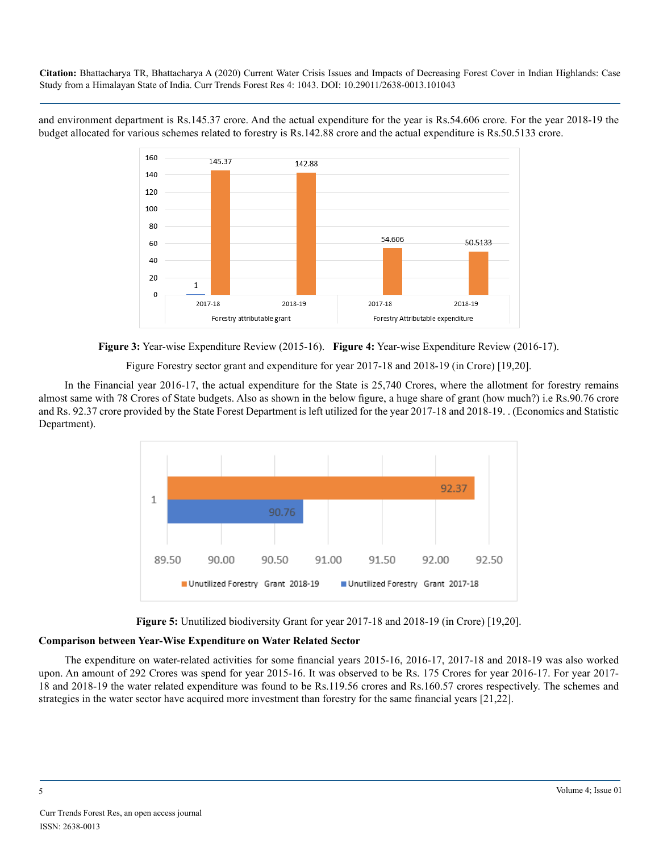and environment department is Rs.145.37 crore. And the actual expenditure for the year is Rs.54.606 crore. For the year 2018-19 the budget allocated for various schemes related to forestry is Rs.142.88 crore and the actual expenditure is Rs.50.5133 crore.



**Figure 3:** Year-wise Expenditure Review (2015-16). **Figure 4:** Year-wise Expenditure Review (2016-17).

Figure Forestry sector grant and expenditure for year 2017-18 and 2018-19 (in Crore) [19,20].

In the Financial year 2016-17, the actual expenditure for the State is 25,740 Crores, where the allotment for forestry remains almost same with 78 Crores of State budgets. Also as shown in the below figure, a huge share of grant (how much?) i.e Rs.90.76 crore and Rs. 92.37 crore provided by the State Forest Department is left utilized for the year 2017-18 and 2018-19. . (Economics and Statistic Department).





#### **Comparison between Year-Wise Expenditure on Water Related Sector**

The expenditure on water-related activities for some financial years 2015-16, 2016-17, 2017-18 and 2018-19 was also worked upon. An amount of 292 Crores was spend for year 2015-16. It was observed to be Rs. 175 Crores for year 2016-17. For year 2017- 18 and 2018-19 the water related expenditure was found to be Rs.119.56 crores and Rs.160.57 crores respectively. The schemes and strategies in the water sector have acquired more investment than forestry for the same financial years [21,22].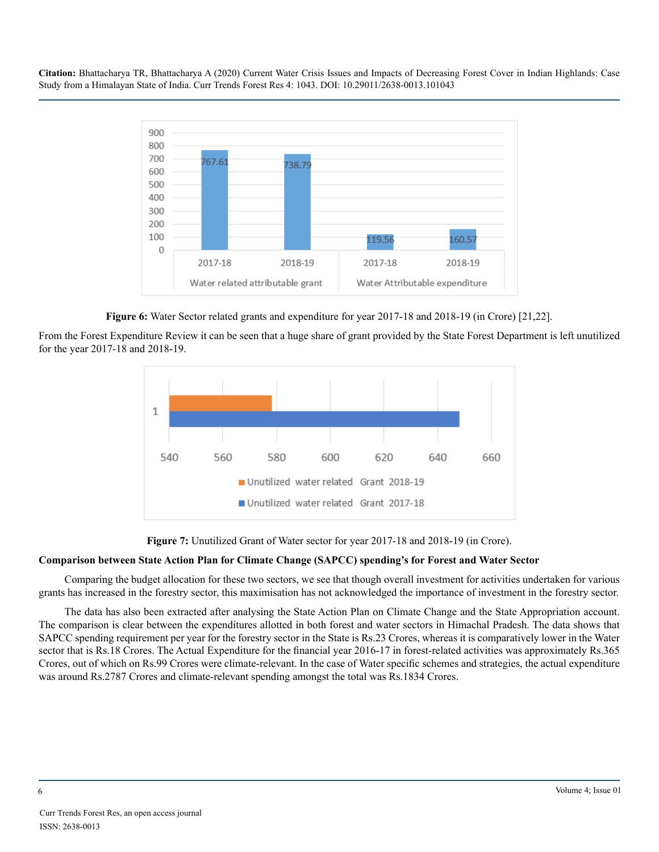

**Figure 6:** Water Sector related grants and expenditure for year 2017-18 and 2018-19 (in Crore) [21,22].

From the Forest Expenditure Review it can be seen that a huge share of grant provided by the State Forest Department is left unutilized for the year 2017-18 and 2018-19.



**Figure 7:** Unutilized Grant of Water sector for year 2017-18 and 2018-19 (in Crore).

## **Comparison between State Action Plan for Climate Change (SAPCC) spending's for Forest and Water Sector**

Comparing the budget allocation for these two sectors, we see that though overall investment for activities undertaken for various grants has increased in the forestry sector, this maximisation has not acknowledged the importance of investment in the forestry sector.

The data has also been extracted after analysing the State Action Plan on Climate Change and the State Appropriation account. The comparison is clear between the expenditures allotted in both forest and water sectors in Himachal Pradesh. The data shows that SAPCC spending requirement per year for the forestry sector in the State is Rs.23 Crores, whereas it is comparatively lower in the Water sector that is Rs.18 Crores. The Actual Expenditure for the financial year 2016-17 in forest-related activities was approximately Rs.365 Crores, out of which on Rs.99 Crores were climate-relevant. In the case of Water specific schemes and strategies, the actual expenditure was around Rs.2787 Crores and climate-relevant spending amongst the total was Rs.1834 Crores.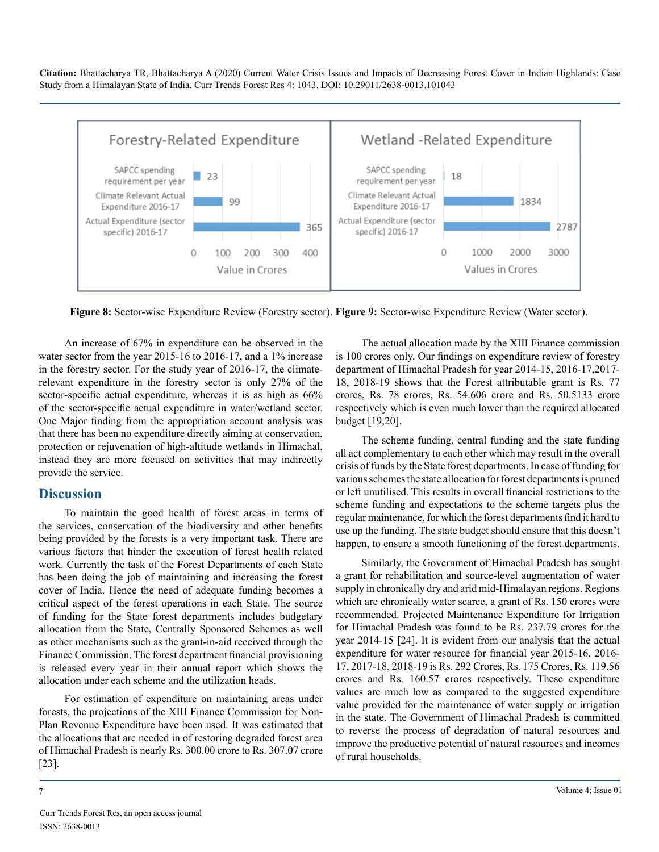

**Figure 8:** Sector-wise Expenditure Review (Forestry sector). **Figure 9:** Sector-wise Expenditure Review (Water sector).

An increase of 67% in expenditure can be observed in the water sector from the year 2015-16 to 2016-17, and a 1% increase in the forestry sector. For the study year of 2016-17, the climaterelevant expenditure in the forestry sector is only 27% of the sector-specific actual expenditure, whereas it is as high as  $66\%$ of the sector-specific actual expenditure in water/wetland sector. One Major finding from the appropriation account analysis was that there has been no expenditure directly aiming at conservation, protection or rejuvenation of high-altitude wetlands in Himachal, instead they are more focused on activities that may indirectly provide the service.

### **Discussion**

To maintain the good health of forest areas in terms of the services, conservation of the biodiversity and other benefits being provided by the forests is a very important task. There are various factors that hinder the execution of forest health related work. Currently the task of the Forest Departments of each State has been doing the job of maintaining and increasing the forest cover of India. Hence the need of adequate funding becomes a critical aspect of the forest operations in each State. The source of funding for the State forest departments includes budgetary allocation from the State, Centrally Sponsored Schemes as well as other mechanisms such as the grant-in-aid received through the Finance Commission. The forest department financial provisioning is released every year in their annual report which shows the allocation under each scheme and the utilization heads.

For estimation of expenditure on maintaining areas under forests, the projections of the XIII Finance Commission for Non-Plan Revenue Expenditure have been used. It was estimated that the allocations that are needed in of restoring degraded forest area of Himachal Pradesh is nearly Rs. 300.00 crore to Rs. 307.07 crore [23].

The actual allocation made by the XIII Finance commission is 100 crores only. Our findings on expenditure review of forestry department of Himachal Pradesh for year 2014-15, 2016-17,2017- 18, 2018-19 shows that the Forest attributable grant is Rs. 77 crores, Rs. 78 crores, Rs. 54.606 crore and Rs. 50.5133 crore respectively which is even much lower than the required allocated budget [19,20].

The scheme funding, central funding and the state funding all act complementary to each other which may result in the overall crisis of funds by the State forest departments. In case of funding for various schemes the state allocation for forest departments is pruned or left unutilised. This results in overall financial restrictions to the scheme funding and expectations to the scheme targets plus the regular maintenance, for which the forest departments find it hard to use up the funding. The state budget should ensure that this doesn't happen, to ensure a smooth functioning of the forest departments.

Similarly, the Government of Himachal Pradesh has sought a grant for rehabilitation and source-level augmentation of water supply in chronically dry and arid mid-Himalayan regions. Regions which are chronically water scarce, a grant of Rs. 150 crores were recommended. Projected Maintenance Expenditure for Irrigation for Himachal Pradesh was found to be Rs. 237.79 crores for the year 2014-15 [24]. It is evident from our analysis that the actual expenditure for water resource for financial year 2015-16, 2016- 17, 2017-18, 2018-19 is Rs. 292 Crores, Rs. 175 Crores, Rs. 119.56 crores and Rs. 160.57 crores respectively. These expenditure values are much low as compared to the suggested expenditure value provided for the maintenance of water supply or irrigation in the state. The Government of Himachal Pradesh is committed to reverse the process of degradation of natural resources and improve the productive potential of natural resources and incomes of rural households.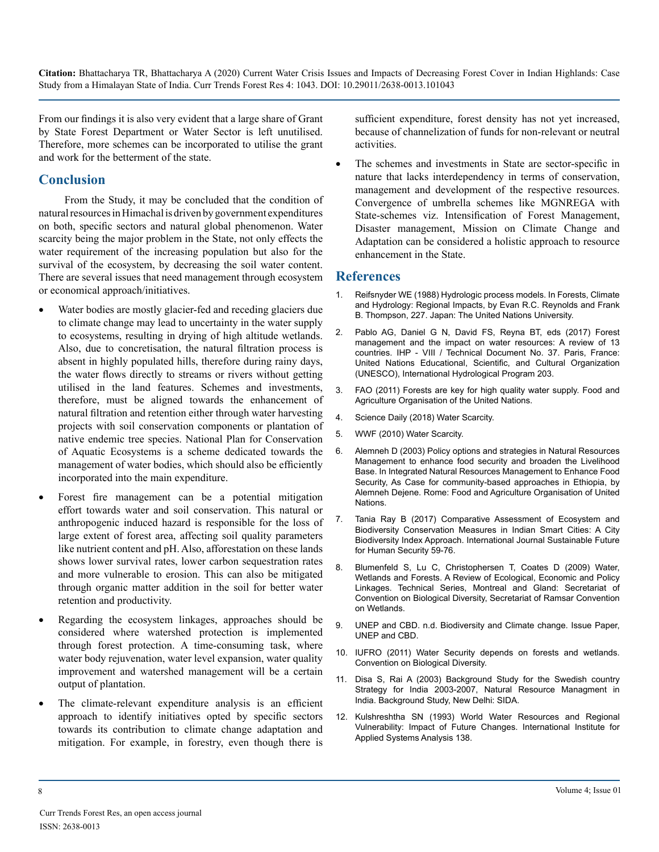From our findings it is also very evident that a large share of Grant by State Forest Department or Water Sector is left unutilised. Therefore, more schemes can be incorporated to utilise the grant and work for the betterment of the state.

## **Conclusion**

From the Study, it may be concluded that the condition of natural resources in Himachal is driven by government expenditures on both, specific sectors and natural global phenomenon. Water scarcity being the major problem in the State, not only effects the water requirement of the increasing population but also for the survival of the ecosystem, by decreasing the soil water content. There are several issues that need management through ecosystem or economical approach/initiatives.

- Water bodies are mostly glacier-fed and receding glaciers due to climate change may lead to uncertainty in the water supply to ecosystems, resulting in drying of high altitude wetlands. Also, due to concretisation, the natural filtration process is absent in highly populated hills, therefore during rainy days, the water flows directly to streams or rivers without getting utilised in the land features. Schemes and investments, therefore, must be aligned towards the enhancement of natural filtration and retention either through water harvesting projects with soil conservation components or plantation of native endemic tree species. National Plan for Conservation of Aquatic Ecosystems is a scheme dedicated towards the management of water bodies, which should also be efficiently incorporated into the main expenditure.
- Forest fire management can be a potential mitigation effort towards water and soil conservation. This natural or anthropogenic induced hazard is responsible for the loss of large extent of forest area, affecting soil quality parameters like nutrient content and pH. Also, afforestation on these lands shows lower survival rates, lower carbon sequestration rates and more vulnerable to erosion. This can also be mitigated through organic matter addition in the soil for better water retention and productivity.
- Regarding the ecosystem linkages, approaches should be considered where watershed protection is implemented through forest protection. A time-consuming task, where water body rejuvenation, water level expansion, water quality improvement and watershed management will be a certain output of plantation.
- The climate-relevant expenditure analysis is an efficient approach to identify initiatives opted by specific sectors towards its contribution to climate change adaptation and mitigation. For example, in forestry, even though there is

sufficient expenditure, forest density has not yet increased, because of channelization of funds for non-relevant or neutral activities.

The schemes and investments in State are sector-specific in nature that lacks interdependency in terms of conservation, management and development of the respective resources. Convergence of umbrella schemes like MGNREGA with State-schemes viz. Intensification of Forest Management, Disaster management, Mission on Climate Change and Adaptation can be considered a holistic approach to resource enhancement in the State.

## **References**

- 1. [Reifsnyder WE \(1988\) Hydrologic process models. In](http://archive.unu.edu/unupress/unupbooks/80635e/80635E00.htm#Contents) Forests, Climate [and Hydrology: Regional Impacts, by Evan R.C. Reynolds and Frank](http://archive.unu.edu/unupress/unupbooks/80635e/80635E00.htm#Contents)  [B. Thompson, 227. Japan: The United Nations University.](http://archive.unu.edu/unupress/unupbooks/80635e/80635E00.htm#Contents)
- 2. [Pablo AG, Daniel G N, David FS, Reyna BT, eds \(2017\) Forest](https://www.fs.usda.gov/treesearch/pubs/54133) [management and the impact on water resources: A review of 13](https://www.fs.usda.gov/treesearch/pubs/54133)  [countries. IHP - VIII / Technical Document No. 37. Paris, France:](https://www.fs.usda.gov/treesearch/pubs/54133)  [United Nations Educational, Scientific, and Cultural Organization](https://www.fs.usda.gov/treesearch/pubs/54133)  [\(UNESCO\), International Hydrological Program 203.](https://www.fs.usda.gov/treesearch/pubs/54133)
- 3. [FAO \(2011\) Forests are key for high quality water supply.](http://www.fao.org/news/story/en/item/53391/icode/) Food and [Agriculture Organisation of the United Nations.](http://www.fao.org/news/story/en/item/53391/icode/)
- 4. [Science Daily \(2018\) Water Scarcity.](https://www.sciencedaily.com/terms/water_scarcity.htm)
- 5. [WWF \(2010\) Water Scarcity.](https://www.worldwildlife.org/threats/water-scarcity)
- 6. [Alemneh D \(2003\) Policy options and strategies in Natural Resources](http://www.fao.org/3/Y4818E/y4818e00.htm#Contents)  [Management to enhance food security and broaden the Livelihood](http://www.fao.org/3/Y4818E/y4818e00.htm#Contents)  Base. In [Integrated Natural Resources Management to Enhance Food](http://www.fao.org/3/Y4818E/y4818e00.htm#Contents)  [Security, As Case for community-based approaches in Ethiopia, by](http://www.fao.org/3/Y4818E/y4818e00.htm#Contents) [Alemneh Dejene. Rome: Food and Agriculture Organisation of United](http://www.fao.org/3/Y4818E/y4818e00.htm#Contents)  [Nations.](http://www.fao.org/3/Y4818E/y4818e00.htm#Contents)
- 7. [Tania Ray B \(2017\) Comparative Assessment of Ecosystem and](https://www.researchgate.net/publication/321664446_Comparative_Assessment_of_Ecosystem_and_Biodiversity_Conservation_Measures_in_Indian_Smart_Cities_A_City_Biodiversity_Index_Approach) [Biodiversity Conservation Measures in Indian Smart Cities: A City](https://www.researchgate.net/publication/321664446_Comparative_Assessment_of_Ecosystem_and_Biodiversity_Conservation_Measures_in_Indian_Smart_Cities_A_City_Biodiversity_Index_Approach)  [Biodiversity Index Approach. International Journal Sustainable Future](https://www.researchgate.net/publication/321664446_Comparative_Assessment_of_Ecosystem_and_Biodiversity_Conservation_Measures_in_Indian_Smart_Cities_A_City_Biodiversity_Index_Approach)  [for Human Security](https://www.researchgate.net/publication/321664446_Comparative_Assessment_of_Ecosystem_and_Biodiversity_Conservation_Measures_in_Indian_Smart_Cities_A_City_Biodiversity_Index_Approach) 59-76.
- 8. [Blumenfeld S, Lu C, Christophersen T, Coates D \(2009\) Water,](https://www.cbd.int/doc/publications/cbd-ts-47-en.pdf) [Wetlands and Forests. A Review of Ecological, Economic and Policy](https://www.cbd.int/doc/publications/cbd-ts-47-en.pdf)  Linkages. [Technical Series, Montreal and Gland: Secretariat of](https://www.cbd.int/doc/publications/cbd-ts-47-en.pdf)  [Convention on Biological Diversity, Secretariat of Ramsar Convention](https://www.cbd.int/doc/publications/cbd-ts-47-en.pdf)  [on Wetlands.](https://www.cbd.int/doc/publications/cbd-ts-47-en.pdf)
- 9. [UNEP and CBD. n.d. Biodiversity and Climate change. Issue Paper,](https://www.cbd.int/doc/publications/unep-cbd-issue-papers/unep-cbd-issue-papers-03-en.pdf) [UNEP and CBD.](https://www.cbd.int/doc/publications/unep-cbd-issue-papers/unep-cbd-issue-papers-03-en.pdf)
- 10. [IUFRO \(2011\) Water Security depends on forests and wetlands.](https://www.iufro.org/download/file/6772/5018/forest-wetlands-cbd110202_doc/)  [Convention on Biological Diversity.](https://www.iufro.org/download/file/6772/5018/forest-wetlands-cbd110202_doc/)
- 11. [Disa S, Rai A \(2003\) Background Study for the Swedish country](https://www.sida.se/contentassets/320aedac0f1047daa30a1400af89c7a0/13185.pdf)  [Strategy for India 2003-2007, Natural Resource Managment in](https://www.sida.se/contentassets/320aedac0f1047daa30a1400af89c7a0/13185.pdf)  India. [Background Study, New Delhi: SIDA.](https://www.sida.se/contentassets/320aedac0f1047daa30a1400af89c7a0/13185.pdf)
- 12. [Kulshreshtha SN \(1993\) World Water Resources and Regional](https://www.ircwash.org/sites/default/files/Kulshreshtha-1993-World.pdf)  [Vulnerability: Impact of Future Changes.](https://www.ircwash.org/sites/default/files/Kulshreshtha-1993-World.pdf) International Institute for [Applied Systems Analysis](https://www.ircwash.org/sites/default/files/Kulshreshtha-1993-World.pdf) 138.